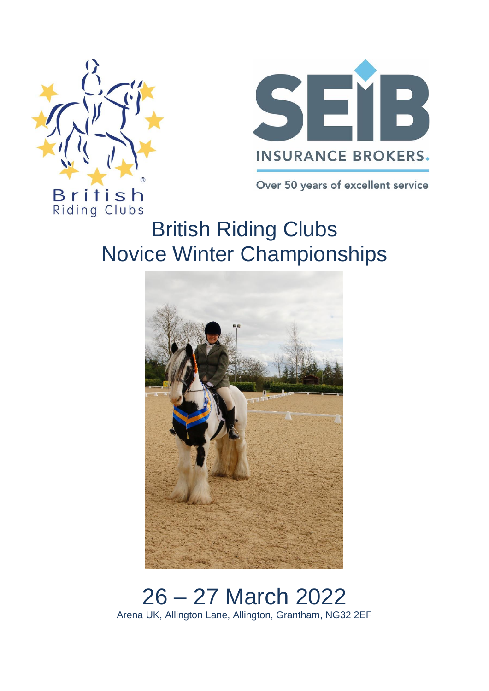



Over 50 years of excellent service

Riding Clubs British Riding Clubs Novice Winter Championships



26 – 27 March 2022 Arena UK, Allington Lane, Allington, Grantham, NG32 2EF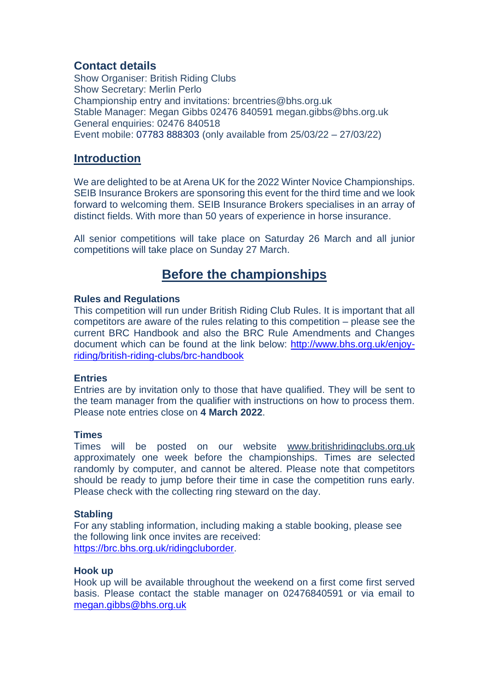## **Contact details**

Show Organiser: British Riding Clubs Show Secretary: Merlin Perlo Championship entry and invitations: brcentries@bhs.org.uk Stable Manager: Megan Gibbs 02476 840591 megan.gibbs@bhs.org.uk General enquiries: 02476 840518 Event mobile: 07783 888303 (only available from 25/03/22 – 27/03/22)

## **Introduction**

We are delighted to be at Arena UK for the 2022 Winter Novice Championships. SEIB Insurance Brokers are sponsoring this event for the third time and we look forward to welcoming them. SEIB Insurance Brokers specialises in an array of distinct fields. With more than 50 years of experience in horse insurance.

All senior competitions will take place on Saturday 26 March and all junior competitions will take place on Sunday 27 March.

## **Before the championships**

## **Rules and Regulations**

This competition will run under British Riding Club Rules. It is important that all competitors are aware of the rules relating to this competition – please see the current BRC Handbook and also the BRC Rule Amendments and Changes document which can be found at the link below: [http://www.bhs.org.uk/enjoy](http://www.bhs.org.uk/enjoy-riding/british-riding-clubs/brc-handbook)[riding/british-riding-clubs/brc-handbook](http://www.bhs.org.uk/enjoy-riding/british-riding-clubs/brc-handbook)

## **Entries**

Entries are by invitation only to those that have qualified. They will be sent to the team manager from the qualifier with instructions on how to process them. Please note entries close on **4 March 2022**.

## **Times**

Times will be posted on our website [www.britishridingclubs.org.uk](http://www.britishridingclubs.org.uk/) approximately one week before the championships. Times are selected randomly by computer, and cannot be altered. Please note that competitors should be ready to jump before their time in case the competition runs early. Please check with the collecting ring steward on the day.

## **Stabling**

For any stabling information, including making a stable booking, please see the following link once invites are received: [https://brc.bhs.org.uk/ridingcluborder.](https://brc.bhs.org.uk/ridingcluborder)

## **Hook up**

Hook up will be available throughout the weekend on a first come first served basis. Please contact the stable manager on 02476840591 or via email to [megan.gibbs@bhs.org.uk](mailto:megan.gibbs@bhs.org.uk)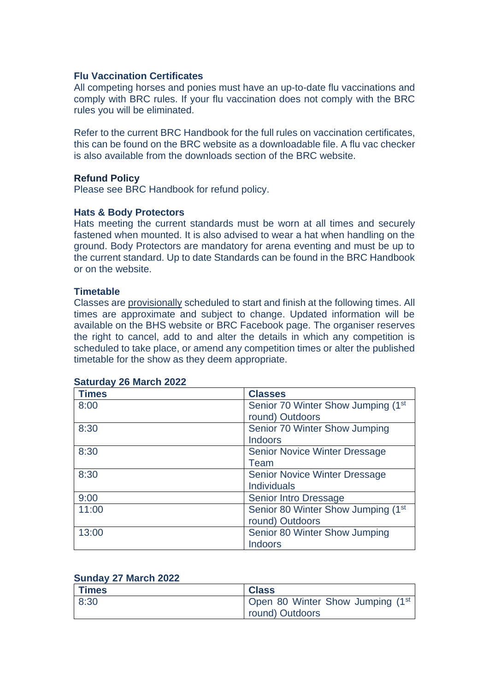#### **Flu Vaccination Certificates**

All competing horses and ponies must have an up-to-date flu vaccinations and comply with BRC rules. If your flu vaccination does not comply with the BRC rules you will be eliminated.

Refer to the current BRC Handbook for the full rules on vaccination certificates, this can be found on the BRC website as a downloadable file. A flu vac checker is also available from the downloads section of the BRC website.

#### **Refund Policy**

Please see BRC Handbook for refund policy.

#### **Hats & Body Protectors**

Hats meeting the current standards must be worn at all times and securely fastened when mounted. It is also advised to wear a hat when handling on the ground. Body Protectors are mandatory for arena eventing and must be up to the current standard. Up to date Standards can be found in the BRC Handbook or on the website.

#### **Timetable**

Classes are provisionally scheduled to start and finish at the following times. All times are approximate and subject to change. Updated information will be available on the BHS website or BRC Facebook page. The organiser reserves the right to cancel, add to and alter the details in which any competition is scheduled to take place, or amend any competition times or alter the published timetable for the show as they deem appropriate.

| <b>Times</b> | <b>Classes</b>                                 |
|--------------|------------------------------------------------|
| 8:00         | Senior 70 Winter Show Jumping (1 <sup>st</sup> |
|              | round) Outdoors                                |
| 8:30         | Senior 70 Winter Show Jumping                  |
|              | <b>Indoors</b>                                 |
| 8:30         | <b>Senior Novice Winter Dressage</b>           |
|              | Team                                           |
| 8:30         | <b>Senior Novice Winter Dressage</b>           |
|              | <b>Individuals</b>                             |
| 9:00         | <b>Senior Intro Dressage</b>                   |
| 11:00        | Senior 80 Winter Show Jumping (1 <sup>st</sup> |
|              | round) Outdoors                                |
| 13:00        | Senior 80 Winter Show Jumping                  |
|              | <b>Indoors</b>                                 |

#### **Saturday 26 March 2022**

#### **Sunday 27 March 2022**

| <b>Times</b> | <b>Class</b>                                 |
|--------------|----------------------------------------------|
| 8:30         | Open 80 Winter Show Jumping (1 <sup>st</sup> |
|              | round) Outdoors                              |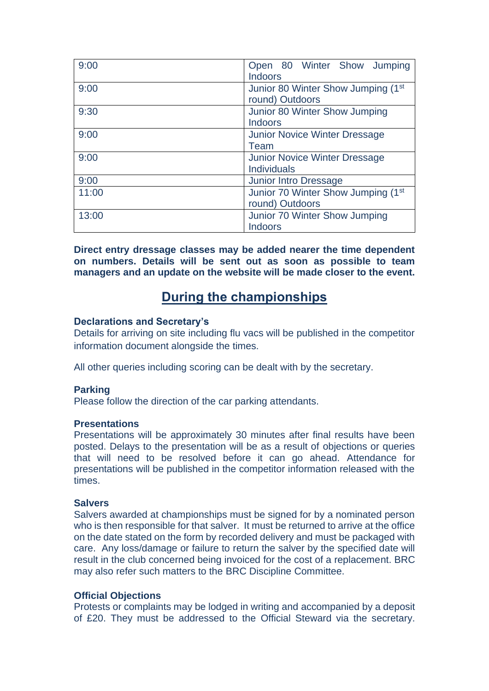| 9:00  | Open 80 Winter Show Jumping                    |
|-------|------------------------------------------------|
|       | <b>Indoors</b>                                 |
| 9:00  | Junior 80 Winter Show Jumping (1 <sup>st</sup> |
|       | round) Outdoors                                |
| 9:30  | Junior 80 Winter Show Jumping                  |
|       | <b>Indoors</b>                                 |
| 9:00  | <b>Junior Novice Winter Dressage</b>           |
|       | Team                                           |
| 9:00  | <b>Junior Novice Winter Dressage</b>           |
|       | <b>Individuals</b>                             |
| 9:00  | <b>Junior Intro Dressage</b>                   |
| 11:00 | Junior 70 Winter Show Jumping (1 <sup>st</sup> |
|       | round) Outdoors                                |
| 13:00 | Junior 70 Winter Show Jumping                  |
|       | <b>Indoors</b>                                 |

**Direct entry dressage classes may be added nearer the time dependent on numbers. Details will be sent out as soon as possible to team managers and an update on the website will be made closer to the event.**

# **During the championships**

## **Declarations and Secretary's**

Details for arriving on site including flu vacs will be published in the competitor information document alongside the times.

All other queries including scoring can be dealt with by the secretary.

## **Parking**

Please follow the direction of the car parking attendants.

#### **Presentations**

Presentations will be approximately 30 minutes after final results have been posted. Delays to the presentation will be as a result of objections or queries that will need to be resolved before it can go ahead. Attendance for presentations will be published in the competitor information released with the times.

#### **Salvers**

Salvers awarded at championships must be signed for by a nominated person who is then responsible for that salver. It must be returned to arrive at the office on the date stated on the form by recorded delivery and must be packaged with care. Any loss/damage or failure to return the salver by the specified date will result in the club concerned being invoiced for the cost of a replacement. BRC may also refer such matters to the BRC Discipline Committee.

## **Official Objections**

Protests or complaints may be lodged in writing and accompanied by a deposit of £20. They must be addressed to the Official Steward via the secretary.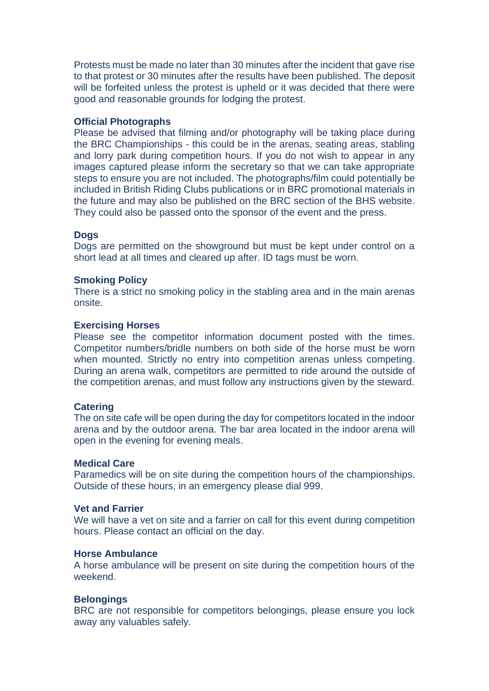Protests must be made no later than 30 minutes after the incident that gave rise to that protest or 30 minutes after the results have been published. The deposit will be forfeited unless the protest is upheld or it was decided that there were good and reasonable grounds for lodging the protest.

#### **Official Photographs**

Please be advised that filming and/or photography will be taking place during the BRC Championships - this could be in the arenas, seating areas, stabling and lorry park during competition hours. If you do not wish to appear in any images captured please inform the secretary so that we can take appropriate steps to ensure you are not included. The photographs/film could potentially be included in British Riding Clubs publications or in BRC promotional materials in the future and may also be published on the BRC section of the BHS website. They could also be passed onto the sponsor of the event and the press.

### **Dogs**

Dogs are permitted on the showground but must be kept under control on a short lead at all times and cleared up after. ID tags must be worn.

#### **Smoking Policy**

There is a strict no smoking policy in the stabling area and in the main arenas onsite.

#### **Exercising Horses**

Please see the competitor information document posted with the times. Competitor numbers/bridle numbers on both side of the horse must be worn when mounted. Strictly no entry into competition arenas unless competing. During an arena walk, competitors are permitted to ride around the outside of the competition arenas, and must follow any instructions given by the steward.

#### **Catering**

The on site cafe will be open during the day for competitors located in the indoor arena and by the outdoor arena. The bar area located in the indoor arena will open in the evening for evening meals.

#### **Medical Care**

Paramedics will be on site during the competition hours of the championships. Outside of these hours, in an emergency please dial 999.

## **Vet and Farrier**

We will have a vet on site and a farrier on call for this event during competition hours. Please contact an official on the day.

#### **Horse Ambulance**

A horse ambulance will be present on site during the competition hours of the weekend.

#### **Belongings**

BRC are not responsible for competitors belongings, please ensure you lock away any valuables safely.